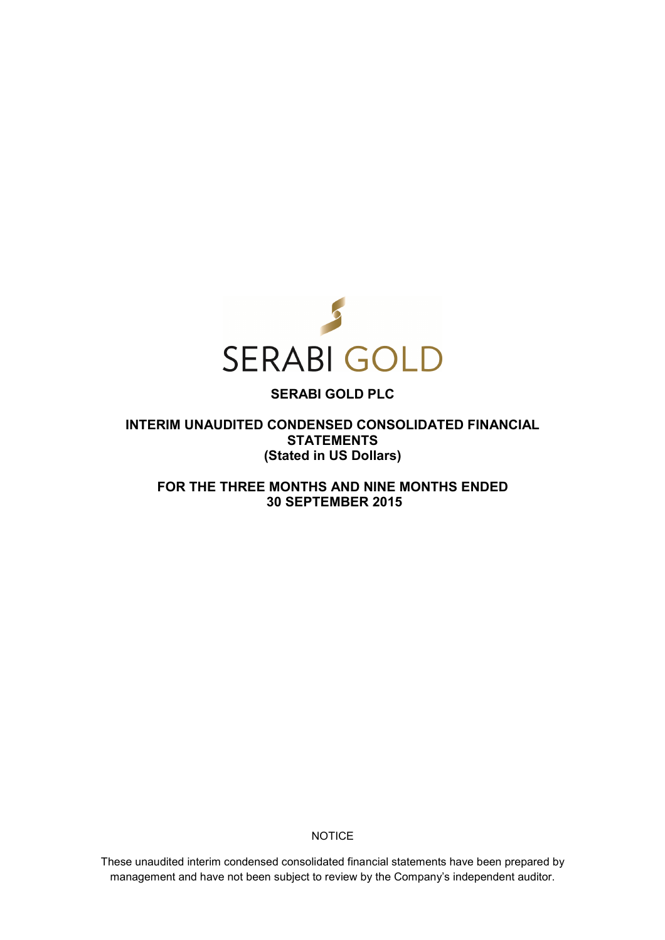

# **SERABI GOLD PLC**

**INTERIM UNAUDITED CONDENSED CONSOLIDATED FINANCIAL STATEMENTS (Stated in US Dollars)** 

**FOR THE THREE MONTHS AND NINE MONTHS ENDED 30 SEPTEMBER 2015** 

**NOTICE** 

These unaudited interim condensed consolidated financial statements have been prepared by management and have not been subject to review by the Company's independent auditor.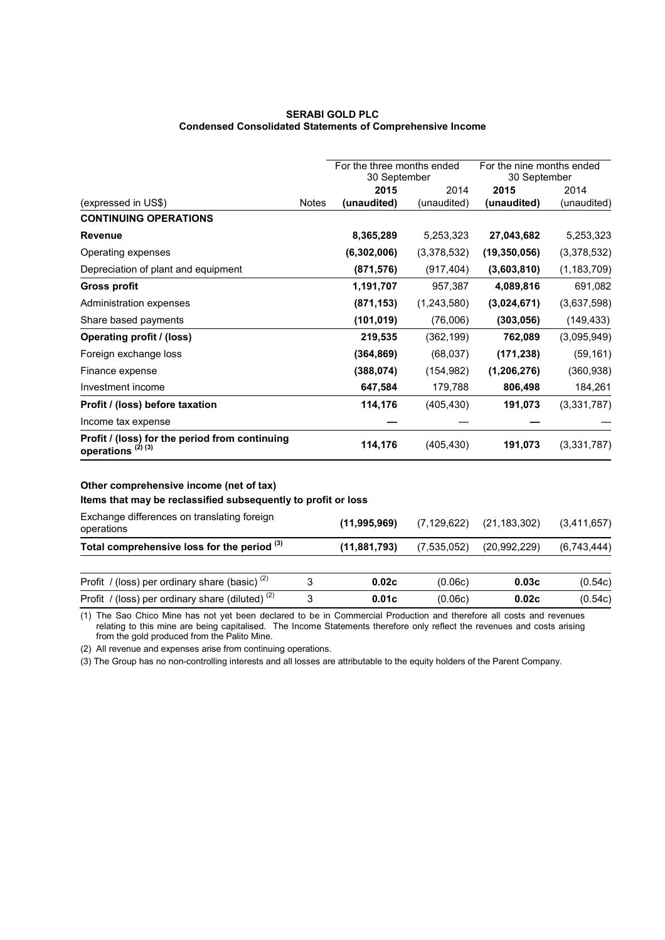## **SERABI GOLD PLC Condensed Consolidated Statements of Comprehensive Income**

|                                                                                                                                                                                                                                                                                                                                                  |              | For the three months ended<br>30 September |             | For the nine months ended<br>30 September |               |
|--------------------------------------------------------------------------------------------------------------------------------------------------------------------------------------------------------------------------------------------------------------------------------------------------------------------------------------------------|--------------|--------------------------------------------|-------------|-------------------------------------------|---------------|
|                                                                                                                                                                                                                                                                                                                                                  |              | 2015                                       | 2014        | 2015                                      | 2014          |
| (expressed in US\$)                                                                                                                                                                                                                                                                                                                              | <b>Notes</b> | (unaudited)                                | (unaudited) | (unaudited)                               | (unaudited)   |
| <b>CONTINUING OPERATIONS</b>                                                                                                                                                                                                                                                                                                                     |              |                                            |             |                                           |               |
| <b>Revenue</b>                                                                                                                                                                                                                                                                                                                                   |              | 8,365,289                                  | 5,253,323   | 27,043,682                                | 5,253,323     |
| Operating expenses                                                                                                                                                                                                                                                                                                                               |              | (6,302,006)                                | (3,378,532) | (19, 350, 056)                            | (3,378,532)   |
| Depreciation of plant and equipment                                                                                                                                                                                                                                                                                                              |              | (871, 576)                                 | (917, 404)  | (3,603,810)                               | (1, 183, 709) |
| <b>Gross profit</b>                                                                                                                                                                                                                                                                                                                              |              | 1,191,707                                  | 957,387     | 4,089,816                                 | 691,082       |
| Administration expenses                                                                                                                                                                                                                                                                                                                          |              | (871, 153)                                 | (1,243,580) | (3,024,671)                               | (3,637,598)   |
| Share based payments                                                                                                                                                                                                                                                                                                                             |              | (101, 019)                                 | (76,006)    | (303, 056)                                | (149, 433)    |
| <b>Operating profit / (loss)</b>                                                                                                                                                                                                                                                                                                                 |              | 219,535                                    | (362, 199)  | 762,089                                   | (3,095,949)   |
| Foreign exchange loss                                                                                                                                                                                                                                                                                                                            |              | (364, 869)                                 | (68, 037)   | (171, 238)                                | (59, 161)     |
| Finance expense                                                                                                                                                                                                                                                                                                                                  |              | (388,074)                                  | (154, 982)  | (1, 206, 276)                             | (360, 938)    |
| Investment income                                                                                                                                                                                                                                                                                                                                |              | 647,584                                    | 179,788     | 806,498                                   | 184,261       |
| Profit / (loss) before taxation                                                                                                                                                                                                                                                                                                                  |              | 114,176                                    | (405, 430)  | 191,073                                   | (3,331,787)   |
| Income tax expense                                                                                                                                                                                                                                                                                                                               |              |                                            |             |                                           |               |
| Profit / (loss) for the period from continuing<br>operations $(2)$ (3)                                                                                                                                                                                                                                                                           |              | 114,176                                    | (405, 430)  | 191,073                                   | (3,331,787)   |
| Other comprehensive income (net of tax)<br>Items that may be reclassified subsequently to profit or loss<br><b>EXAMPLE AND REPORT OF A REPORT OF A STATE OF A REPORT OF A STATE OF A STATE OF A STATE OF A STATE OF A STATE OF A STATE OF A STATE OF A STATE OF A STATE OF A STATE OF A STATE OF A STATE OF A STATE OF A STATE OF A STATE OF</b> |              |                                            |             |                                           |               |

| Exchange differences on translating foreign<br>operations | (11.995.969)   | (7, 129, 622) | (21, 183, 302) | (3,411,657) |
|-----------------------------------------------------------|----------------|---------------|----------------|-------------|
| Total comprehensive loss for the period (3)               | (11, 881, 793) | (7,535,052)   | (20,992,229)   | (6,743,444) |
| Profit / (loss) per ordinary share (basic) $(2)$          | 0.02c          | (0.06c)       | 0.03c          | (0.54c)     |
| Profit / (loss) per ordinary share (diluted) $(2)$        | 0.01c          | (0.06c)       | 0.02c          | (0.54c)     |

(1) The Sao Chico Mine has not yet been declared to be in Commercial Production and therefore all costs and revenues relating to this mine are being capitalised. The Income Statements therefore only reflect the revenues and costs arising from the gold produced from the Palito Mine.

(2) All revenue and expenses arise from continuing operations.

(3) The Group has no non-controlling interests and all losses are attributable to the equity holders of the Parent Company.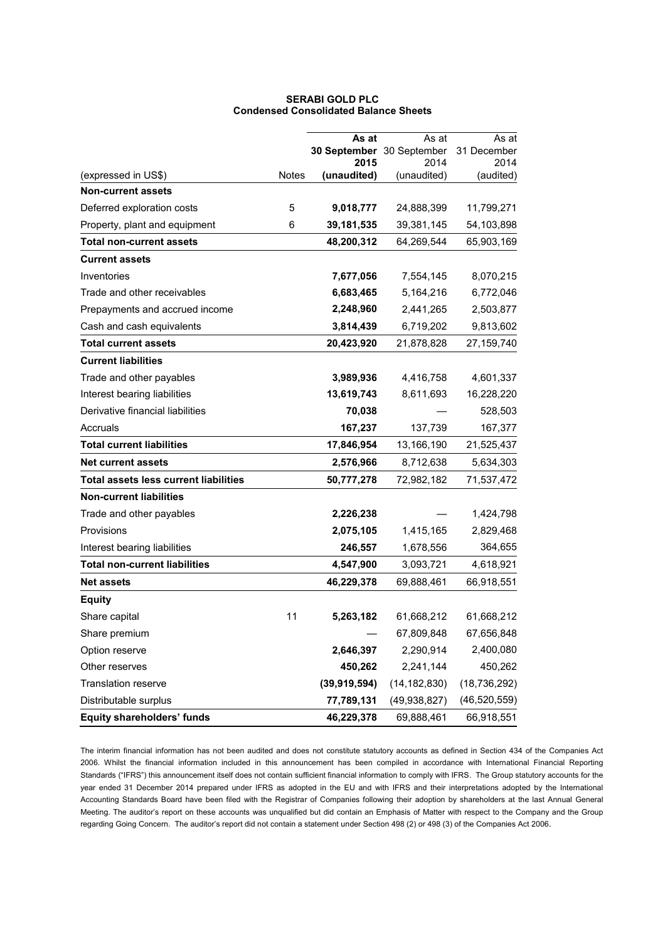|                                              |              | As at                             | As at          | As at               |
|----------------------------------------------|--------------|-----------------------------------|----------------|---------------------|
|                                              |              | 30 September 30 September<br>2015 | 2014           | 31 December<br>2014 |
| (expressed in US\$)                          | <b>Notes</b> | (unaudited)                       | (unaudited)    | (audited)           |
| <b>Non-current assets</b>                    |              |                                   |                |                     |
| Deferred exploration costs                   | 5            | 9,018,777                         | 24,888,399     | 11,799,271          |
| Property, plant and equipment                | 6            | 39,181,535                        | 39,381,145     | 54,103,898          |
| <b>Total non-current assets</b>              |              | 48,200,312                        | 64,269,544     | 65,903,169          |
| <b>Current assets</b>                        |              |                                   |                |                     |
| Inventories                                  |              | 7,677,056                         | 7,554,145      | 8,070,215           |
| Trade and other receivables                  |              | 6,683,465                         | 5,164,216      | 6,772,046           |
| Prepayments and accrued income               |              | 2,248,960                         | 2,441,265      | 2,503,877           |
| Cash and cash equivalents                    |              | 3,814,439                         | 6,719,202      | 9,813,602           |
| <b>Total current assets</b>                  |              | 20,423,920                        | 21,878,828     | 27,159,740          |
| <b>Current liabilities</b>                   |              |                                   |                |                     |
| Trade and other payables                     |              | 3,989,936                         | 4,416,758      | 4,601,337           |
| Interest bearing liabilities                 |              | 13,619,743                        | 8,611,693      | 16,228,220          |
| Derivative financial liabilities             |              | 70,038                            |                | 528,503             |
| Accruals                                     |              | 167,237                           | 137,739        | 167,377             |
| <b>Total current liabilities</b>             |              | 17,846,954                        | 13,166,190     | 21,525,437          |
| <b>Net current assets</b>                    |              | 2,576,966                         | 8,712,638      | 5,634,303           |
| <b>Total assets less current liabilities</b> |              | 50,777,278                        | 72,982,182     | 71,537,472          |
| <b>Non-current liabilities</b>               |              |                                   |                |                     |
| Trade and other payables                     |              | 2,226,238                         |                | 1,424,798           |
| Provisions                                   |              | 2,075,105                         | 1,415,165      | 2,829,468           |
| Interest bearing liabilities                 |              | 246,557                           | 1,678,556      | 364,655             |
| <b>Total non-current liabilities</b>         |              | 4,547,900                         | 3,093,721      | 4,618,921           |
| <b>Net assets</b>                            |              | 46,229,378                        | 69,888,461     | 66,918,551          |
| <b>Equity</b>                                |              |                                   |                |                     |
| Share capital                                | 11           | 5,263,182                         | 61,668,212     | 61,668,212          |
| Share premium                                |              |                                   | 67,809,848     | 67,656,848          |
| Option reserve                               |              | 2,646,397                         | 2,290,914      | 2,400,080           |
| Other reserves                               |              | 450,262                           | 2,241,144      | 450,262             |
| Translation reserve                          |              | (39, 919, 594)                    | (14, 182, 830) | (18, 736, 292)      |
| Distributable surplus                        |              | 77,789,131                        | (49, 938, 827) | (46, 520, 559)      |
| <b>Equity shareholders' funds</b>            |              | 46,229,378                        | 69,888,461     | 66,918,551          |

## **SERABI GOLD PLC Condensed Consolidated Balance Sheets**

The interim financial information has not been audited and does not constitute statutory accounts as defined in Section 434 of the Companies Act 2006. Whilst the financial information included in this announcement has been compiled in accordance with International Financial Reporting Standards ("IFRS") this announcement itself does not contain sufficient financial information to comply with IFRS. The Group statutory accounts for the year ended 31 December 2014 prepared under IFRS as adopted in the EU and with IFRS and their interpretations adopted by the International Accounting Standards Board have been filed with the Registrar of Companies following their adoption by shareholders at the last Annual General Meeting. The auditor's report on these accounts was unqualified but did contain an Emphasis of Matter with respect to the Company and the Group regarding Going Concern. The auditor's report did not contain a statement under Section 498 (2) or 498 (3) of the Companies Act 2006.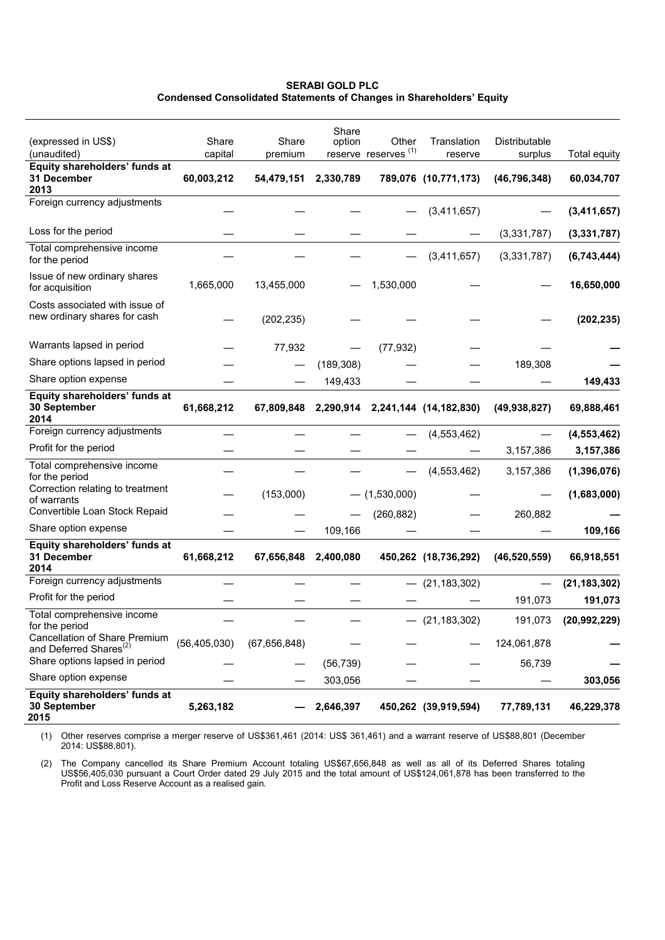**SERABI GOLD PLC Condensed Consolidated Statements of Changes in Shareholders' Equity** 

| (expressed in US\$)<br>(unaudited)                                               | Share<br>capital | Share<br>premium | Share<br>option | Other<br>reserve reserves <sup>(1)</sup> | Translation<br>reserve           | Distributable<br>surplus | Total equity   |
|----------------------------------------------------------------------------------|------------------|------------------|-----------------|------------------------------------------|----------------------------------|--------------------------|----------------|
| Equity shareholders' funds at<br>31 December<br>2013                             | 60,003,212       | 54,479,151       | 2,330,789       |                                          | 789,076 (10,771,173)             | (46, 796, 348)           | 60,034,707     |
| Foreign currency adjustments                                                     |                  |                  |                 |                                          | (3,411,657)                      |                          | (3,411,657)    |
| Loss for the period                                                              |                  |                  |                 |                                          |                                  | (3,331,787)              | (3,331,787)    |
| Total comprehensive income<br>for the period                                     |                  |                  |                 |                                          | (3,411,657)                      | (3,331,787)              | (6,743,444)    |
| Issue of new ordinary shares<br>for acquisition                                  | 1,665,000        | 13,455,000       |                 | 1,530,000                                |                                  |                          | 16,650,000     |
| Costs associated with issue of<br>new ordinary shares for cash                   |                  | (202, 235)       |                 |                                          |                                  |                          | (202, 235)     |
| Warrants lapsed in period                                                        |                  | 77,932           |                 | (77, 932)                                |                                  |                          |                |
| Share options lapsed in period                                                   |                  |                  | (189, 308)      |                                          |                                  | 189,308                  |                |
| Share option expense                                                             |                  |                  | 149,433         |                                          |                                  |                          | 149,433        |
| Equity shareholders' funds at<br>30 September<br>2014                            | 61,668,212       | 67,809,848       |                 |                                          | 2,290,914 2,241,144 (14,182,830) | (49, 938, 827)           | 69,888,461     |
| Foreign currency adjustments                                                     |                  |                  |                 |                                          | (4, 553, 462)                    |                          | (4, 553, 462)  |
| Profit for the period                                                            |                  |                  |                 |                                          |                                  | 3,157,386                | 3,157,386      |
| Total comprehensive income<br>for the period                                     |                  |                  |                 |                                          | (4, 553, 462)                    | 3,157,386                | (1, 396, 076)  |
| Correction relating to treatment<br>of warrants<br>Convertible Loan Stock Repaid |                  | (153,000)        |                 | $-$ (1,530,000)                          |                                  |                          | (1,683,000)    |
| Share option expense                                                             |                  |                  |                 | (260, 882)                               |                                  | 260,882                  |                |
| Equity shareholders' funds at                                                    |                  |                  | 109,166         |                                          |                                  |                          | 109,166        |
| 31 December<br>2014                                                              | 61,668,212       | 67,656,848       | 2,400,080       |                                          | 450,262 (18,736,292)             | (46, 520, 559)           | 66,918,551     |
| Foreign currency adjustments                                                     |                  |                  |                 |                                          | $-$ (21,183,302)                 |                          | (21, 183, 302) |
| Profit for the period                                                            |                  |                  |                 |                                          |                                  | 191,073                  | 191,073        |
| Total comprehensive income<br>for the period                                     |                  |                  |                 |                                          | (21, 183, 302)                   | 191,073                  | (20, 992, 229) |
| Cancellation of Share Premium<br>and Deferred Shares <sup>(2)</sup>              | (56, 405, 030)   | (67, 656, 848)   |                 |                                          |                                  | 124,061,878              |                |
| Share options lapsed in period                                                   |                  |                  | (56, 739)       |                                          |                                  | 56,739                   |                |
| Share option expense                                                             |                  |                  | 303,056         |                                          |                                  |                          | 303,056        |
| Equity shareholders' funds at<br>30 September<br>2015                            | 5,263,182        |                  | 2,646,397       |                                          | 450,262 (39,919,594)             | 77,789,131               | 46,229,378     |

(1) Other reserves comprise a merger reserve of US\$361,461 (2014: US\$ 361,461) and a warrant reserve of US\$88,801 (December 2014: US\$88,801).

(2) The Company cancelled its Share Premium Account totaling US\$67,656,848 as well as all of its Deferred Shares totaling US\$56,405,030 pursuant a Court Order dated 29 July 2015 and the total amount of US\$124,061,878 has been transferred to the Profit and Loss Reserve Account as a realised gain.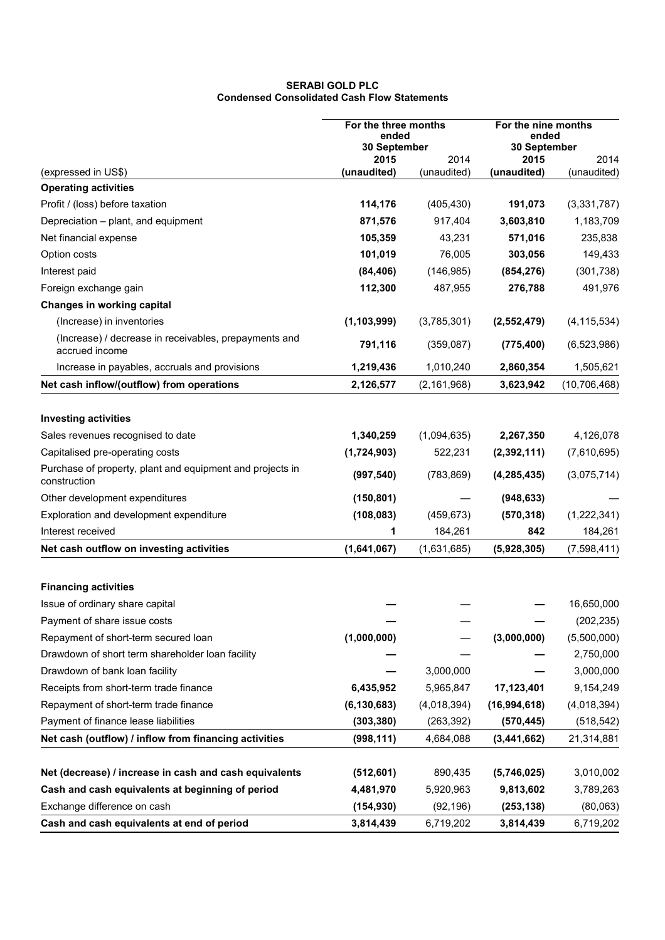## **SERABI GOLD PLC Condensed Consolidated Cash Flow Statements**

|                                                                           | For the three months<br>ended<br>30 September |               | For the nine months<br>ended<br>30 September |                |
|---------------------------------------------------------------------------|-----------------------------------------------|---------------|----------------------------------------------|----------------|
|                                                                           |                                               |               |                                              |                |
|                                                                           | 2015                                          | 2014          | 2015                                         | 2014           |
| (expressed in US\$)                                                       | (unaudited)                                   | (unaudited)   | (unaudited)                                  | (unaudited)    |
| <b>Operating activities</b>                                               |                                               |               |                                              |                |
| Profit / (loss) before taxation                                           | 114,176                                       | (405, 430)    | 191,073                                      | (3,331,787)    |
| Depreciation - plant, and equipment                                       | 871,576                                       | 917,404       | 3,603,810                                    | 1,183,709      |
| Net financial expense                                                     | 105,359                                       | 43,231        | 571,016                                      | 235,838        |
| Option costs                                                              | 101,019                                       | 76,005        | 303,056                                      | 149,433        |
| Interest paid                                                             | (84, 406)                                     | (146, 985)    | (854, 276)                                   | (301, 738)     |
| Foreign exchange gain                                                     | 112,300                                       | 487,955       | 276,788                                      | 491,976        |
| <b>Changes in working capital</b>                                         |                                               |               |                                              |                |
| (Increase) in inventories                                                 | (1, 103, 999)                                 | (3,785,301)   | (2,552,479)                                  | (4, 115, 534)  |
| (Increase) / decrease in receivables, prepayments and<br>accrued income   | 791,116                                       | (359,087)     | (775, 400)                                   | (6,523,986)    |
| Increase in payables, accruals and provisions                             | 1,219,436                                     | 1,010,240     | 2,860,354                                    | 1,505,621      |
| Net cash inflow/(outflow) from operations                                 | 2,126,577                                     | (2, 161, 968) | 3,623,942                                    | (10, 706, 468) |
|                                                                           |                                               |               |                                              |                |
| <b>Investing activities</b>                                               |                                               |               |                                              |                |
| Sales revenues recognised to date                                         | 1,340,259                                     | (1,094,635)   | 2,267,350                                    | 4,126,078      |
| Capitalised pre-operating costs                                           | (1,724,903)                                   | 522,231       | (2,392,111)                                  | (7,610,695)    |
| Purchase of property, plant and equipment and projects in<br>construction | (997, 540)                                    | (783, 869)    | (4, 285, 435)                                | (3,075,714)    |
| Other development expenditures                                            | (150, 801)                                    |               | (948, 633)                                   |                |
| Exploration and development expenditure                                   | (108, 083)                                    | (459, 673)    | (570, 318)                                   | (1,222,341)    |
| Interest received                                                         | 1                                             | 184,261       | 842                                          | 184,261        |
| Net cash outflow on investing activities                                  | (1,641,067)                                   | (1,631,685)   | (5,928,305)                                  | (7,598,411)    |
|                                                                           |                                               |               |                                              |                |
| <b>Financing activities</b>                                               |                                               |               |                                              |                |
| Issue of ordinary share capital                                           |                                               |               |                                              | 16,650,000     |
| Payment of share issue costs                                              |                                               |               |                                              | (202, 235)     |
| Repayment of short-term secured loan                                      | (1,000,000)                                   |               | (3,000,000)                                  | (5,500,000)    |
| Drawdown of short term shareholder loan facility                          |                                               |               |                                              | 2,750,000      |
| Drawdown of bank loan facility                                            |                                               | 3,000,000     |                                              | 3,000,000      |
| Receipts from short-term trade finance                                    | 6,435,952                                     | 5,965,847     | 17,123,401                                   | 9,154,249      |
| Repayment of short-term trade finance                                     | (6, 130, 683)                                 | (4,018,394)   | (16, 994, 618)                               | (4,018,394)    |
| Payment of finance lease liabilities                                      | (303, 380)                                    | (263, 392)    | (570, 445)                                   | (518, 542)     |
| Net cash (outflow) / inflow from financing activities                     | (998, 111)                                    | 4,684,088     | (3, 441, 662)                                | 21,314,881     |
|                                                                           |                                               |               |                                              |                |
| Net (decrease) / increase in cash and cash equivalents                    | (512, 601)                                    | 890,435       | (5,746,025)                                  | 3,010,002      |
| Cash and cash equivalents at beginning of period                          | 4,481,970                                     | 5,920,963     | 9,813,602                                    | 3,789,263      |
| Exchange difference on cash                                               | (154, 930)                                    | (92, 196)     | (253, 138)                                   | (80,063)       |
| Cash and cash equivalents at end of period                                | 3,814,439                                     | 6,719,202     | 3,814,439                                    | 6,719,202      |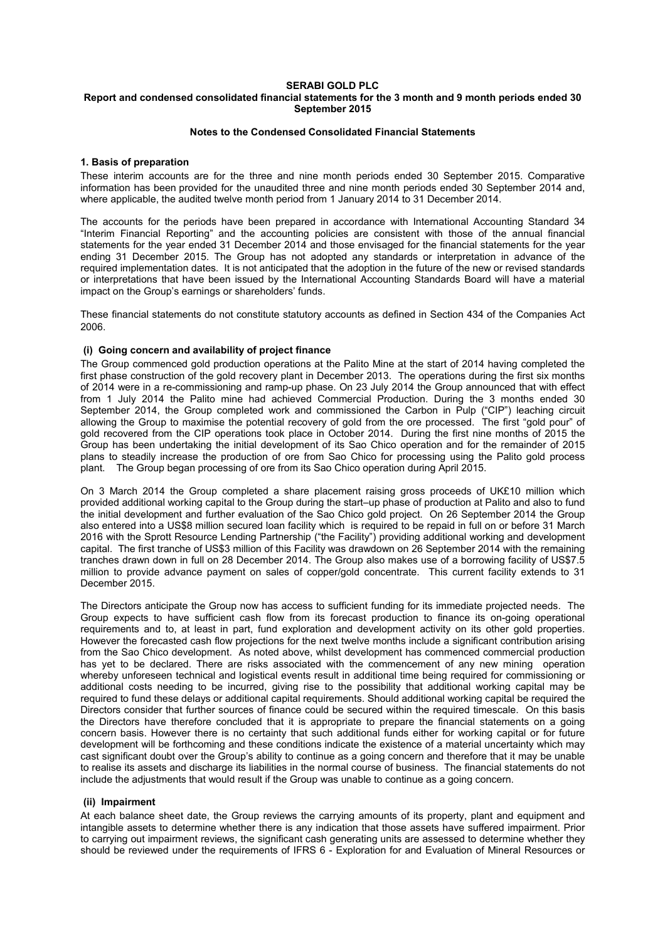#### **SERABI GOLD PLC Report and condensed consolidated financial statements for the 3 month and 9 month periods ended 30 September 2015**

## **Notes to the Condensed Consolidated Financial Statements**

## **1. Basis of preparation**

These interim accounts are for the three and nine month periods ended 30 September 2015. Comparative information has been provided for the unaudited three and nine month periods ended 30 September 2014 and, where applicable, the audited twelve month period from 1 January 2014 to 31 December 2014.

The accounts for the periods have been prepared in accordance with International Accounting Standard 34 "Interim Financial Reporting" and the accounting policies are consistent with those of the annual financial statements for the year ended 31 December 2014 and those envisaged for the financial statements for the year ending 31 December 2015. The Group has not adopted any standards or interpretation in advance of the required implementation dates. It is not anticipated that the adoption in the future of the new or revised standards or interpretations that have been issued by the International Accounting Standards Board will have a material impact on the Group's earnings or shareholders' funds.

These financial statements do not constitute statutory accounts as defined in Section 434 of the Companies Act 2006.

## **(i) Going concern and availability of project finance**

The Group commenced gold production operations at the Palito Mine at the start of 2014 having completed the first phase construction of the gold recovery plant in December 2013. The operations during the first six months of 2014 were in a re-commissioning and ramp-up phase. On 23 July 2014 the Group announced that with effect from 1 July 2014 the Palito mine had achieved Commercial Production. During the 3 months ended 30 September 2014, the Group completed work and commissioned the Carbon in Pulp ("CIP") leaching circuit allowing the Group to maximise the potential recovery of gold from the ore processed. The first "gold pour" of gold recovered from the CIP operations took place in October 2014. During the first nine months of 2015 the Group has been undertaking the initial development of its Sao Chico operation and for the remainder of 2015 plans to steadily increase the production of ore from Sao Chico for processing using the Palito gold process plant. The Group began processing of ore from its Sao Chico operation during April 2015.

On 3 March 2014 the Group completed a share placement raising gross proceeds of UK£10 million which provided additional working capital to the Group during the start–up phase of production at Palito and also to fund the initial development and further evaluation of the Sao Chico gold project. On 26 September 2014 the Group also entered into a US\$8 million secured loan facility which is required to be repaid in full on or before 31 March 2016 with the Sprott Resource Lending Partnership ("the Facility") providing additional working and development capital. The first tranche of US\$3 million of this Facility was drawdown on 26 September 2014 with the remaining tranches drawn down in full on 28 December 2014. The Group also makes use of a borrowing facility of US\$7.5 million to provide advance payment on sales of copper/gold concentrate. This current facility extends to 31 December 2015.

The Directors anticipate the Group now has access to sufficient funding for its immediate projected needs. The Group expects to have sufficient cash flow from its forecast production to finance its on-going operational requirements and to, at least in part, fund exploration and development activity on its other gold properties. However the forecasted cash flow projections for the next twelve months include a significant contribution arising from the Sao Chico development. As noted above, whilst development has commenced commercial production has yet to be declared. There are risks associated with the commencement of any new mining operation whereby unforeseen technical and logistical events result in additional time being required for commissioning or additional costs needing to be incurred, giving rise to the possibility that additional working capital may be required to fund these delays or additional capital requirements. Should additional working capital be required the Directors consider that further sources of finance could be secured within the required timescale. On this basis the Directors have therefore concluded that it is appropriate to prepare the financial statements on a going concern basis. However there is no certainty that such additional funds either for working capital or for future development will be forthcoming and these conditions indicate the existence of a material uncertainty which may cast significant doubt over the Group's ability to continue as a going concern and therefore that it may be unable to realise its assets and discharge its liabilities in the normal course of business. The financial statements do not include the adjustments that would result if the Group was unable to continue as a going concern.

## **(ii) Impairment**

At each balance sheet date, the Group reviews the carrying amounts of its property, plant and equipment and intangible assets to determine whether there is any indication that those assets have suffered impairment. Prior to carrying out impairment reviews, the significant cash generating units are assessed to determine whether they should be reviewed under the requirements of IFRS 6 - Exploration for and Evaluation of Mineral Resources or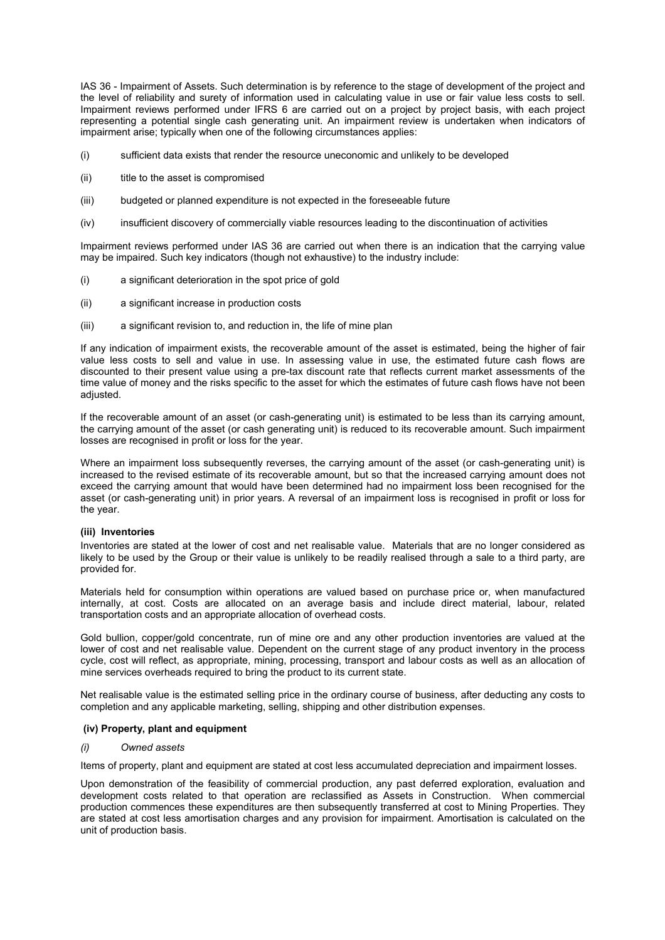IAS 36 - Impairment of Assets. Such determination is by reference to the stage of development of the project and the level of reliability and surety of information used in calculating value in use or fair value less costs to sell. Impairment reviews performed under IFRS 6 are carried out on a project by project basis, with each project representing a potential single cash generating unit. An impairment review is undertaken when indicators of impairment arise; typically when one of the following circumstances applies:

- (i) sufficient data exists that render the resource uneconomic and unlikely to be developed
- (ii) title to the asset is compromised
- (iii) budgeted or planned expenditure is not expected in the foreseeable future
- (iv) insufficient discovery of commercially viable resources leading to the discontinuation of activities

Impairment reviews performed under IAS 36 are carried out when there is an indication that the carrying value may be impaired. Such key indicators (though not exhaustive) to the industry include:

- (i) a significant deterioration in the spot price of gold
- (ii) a significant increase in production costs
- (iii) a significant revision to, and reduction in, the life of mine plan

If any indication of impairment exists, the recoverable amount of the asset is estimated, being the higher of fair value less costs to sell and value in use. In assessing value in use, the estimated future cash flows are discounted to their present value using a pre-tax discount rate that reflects current market assessments of the time value of money and the risks specific to the asset for which the estimates of future cash flows have not been adjusted.

If the recoverable amount of an asset (or cash-generating unit) is estimated to be less than its carrying amount, the carrying amount of the asset (or cash generating unit) is reduced to its recoverable amount. Such impairment losses are recognised in profit or loss for the year.

Where an impairment loss subsequently reverses, the carrying amount of the asset (or cash-generating unit) is increased to the revised estimate of its recoverable amount, but so that the increased carrying amount does not exceed the carrying amount that would have been determined had no impairment loss been recognised for the asset (or cash-generating unit) in prior years. A reversal of an impairment loss is recognised in profit or loss for the year.

#### **(iii) Inventories**

Inventories are stated at the lower of cost and net realisable value. Materials that are no longer considered as likely to be used by the Group or their value is unlikely to be readily realised through a sale to a third party, are provided for.

Materials held for consumption within operations are valued based on purchase price or, when manufactured internally, at cost. Costs are allocated on an average basis and include direct material, labour, related transportation costs and an appropriate allocation of overhead costs.

Gold bullion, copper/gold concentrate, run of mine ore and any other production inventories are valued at the lower of cost and net realisable value. Dependent on the current stage of any product inventory in the process cycle, cost will reflect, as appropriate, mining, processing, transport and labour costs as well as an allocation of mine services overheads required to bring the product to its current state.

Net realisable value is the estimated selling price in the ordinary course of business, after deducting any costs to completion and any applicable marketing, selling, shipping and other distribution expenses.

#### **(iv) Property, plant and equipment**

#### *(i) Owned assets*

Items of property, plant and equipment are stated at cost less accumulated depreciation and impairment losses.

Upon demonstration of the feasibility of commercial production, any past deferred exploration, evaluation and development costs related to that operation are reclassified as Assets in Construction. When commercial production commences these expenditures are then subsequently transferred at cost to Mining Properties. They are stated at cost less amortisation charges and any provision for impairment. Amortisation is calculated on the unit of production basis.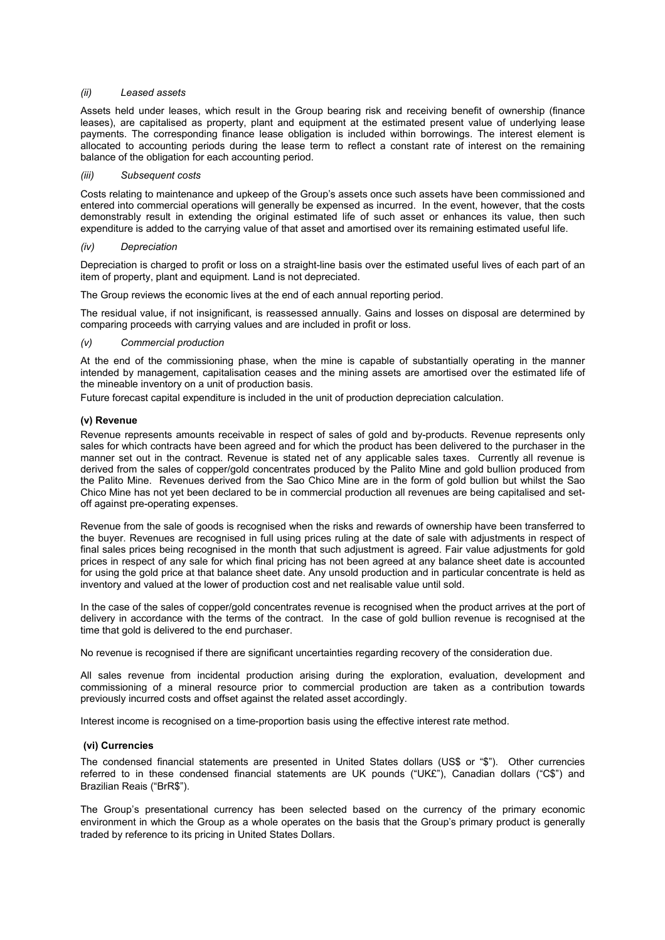## *(ii) Leased assets*

Assets held under leases, which result in the Group bearing risk and receiving benefit of ownership (finance leases), are capitalised as property, plant and equipment at the estimated present value of underlying lease payments. The corresponding finance lease obligation is included within borrowings. The interest element is allocated to accounting periods during the lease term to reflect a constant rate of interest on the remaining balance of the obligation for each accounting period.

#### *(iii) Subsequent costs*

Costs relating to maintenance and upkeep of the Group's assets once such assets have been commissioned and entered into commercial operations will generally be expensed as incurred. In the event, however, that the costs demonstrably result in extending the original estimated life of such asset or enhances its value, then such expenditure is added to the carrying value of that asset and amortised over its remaining estimated useful life.

#### *(iv) Depreciation*

Depreciation is charged to profit or loss on a straight-line basis over the estimated useful lives of each part of an item of property, plant and equipment. Land is not depreciated.

The Group reviews the economic lives at the end of each annual reporting period.

The residual value, if not insignificant, is reassessed annually. Gains and losses on disposal are determined by comparing proceeds with carrying values and are included in profit or loss.

#### *(v) Commercial production*

At the end of the commissioning phase, when the mine is capable of substantially operating in the manner intended by management, capitalisation ceases and the mining assets are amortised over the estimated life of the mineable inventory on a unit of production basis.

Future forecast capital expenditure is included in the unit of production depreciation calculation.

#### **(v) Revenue**

Revenue represents amounts receivable in respect of sales of gold and by-products. Revenue represents only sales for which contracts have been agreed and for which the product has been delivered to the purchaser in the manner set out in the contract. Revenue is stated net of any applicable sales taxes. Currently all revenue is derived from the sales of copper/gold concentrates produced by the Palito Mine and gold bullion produced from the Palito Mine. Revenues derived from the Sao Chico Mine are in the form of gold bullion but whilst the Sao Chico Mine has not yet been declared to be in commercial production all revenues are being capitalised and setoff against pre-operating expenses.

Revenue from the sale of goods is recognised when the risks and rewards of ownership have been transferred to the buyer. Revenues are recognised in full using prices ruling at the date of sale with adjustments in respect of final sales prices being recognised in the month that such adjustment is agreed. Fair value adjustments for gold prices in respect of any sale for which final pricing has not been agreed at any balance sheet date is accounted for using the gold price at that balance sheet date. Any unsold production and in particular concentrate is held as inventory and valued at the lower of production cost and net realisable value until sold.

In the case of the sales of copper/gold concentrates revenue is recognised when the product arrives at the port of delivery in accordance with the terms of the contract. In the case of gold bullion revenue is recognised at the time that gold is delivered to the end purchaser.

No revenue is recognised if there are significant uncertainties regarding recovery of the consideration due.

All sales revenue from incidental production arising during the exploration, evaluation, development and commissioning of a mineral resource prior to commercial production are taken as a contribution towards previously incurred costs and offset against the related asset accordingly.

Interest income is recognised on a time-proportion basis using the effective interest rate method.

#### **(vi) Currencies**

The condensed financial statements are presented in United States dollars (US\$ or "\$"). Other currencies referred to in these condensed financial statements are UK pounds ("UK£"), Canadian dollars ("C\$") and Brazilian Reais ("BrR\$").

The Group's presentational currency has been selected based on the currency of the primary economic environment in which the Group as a whole operates on the basis that the Group's primary product is generally traded by reference to its pricing in United States Dollars.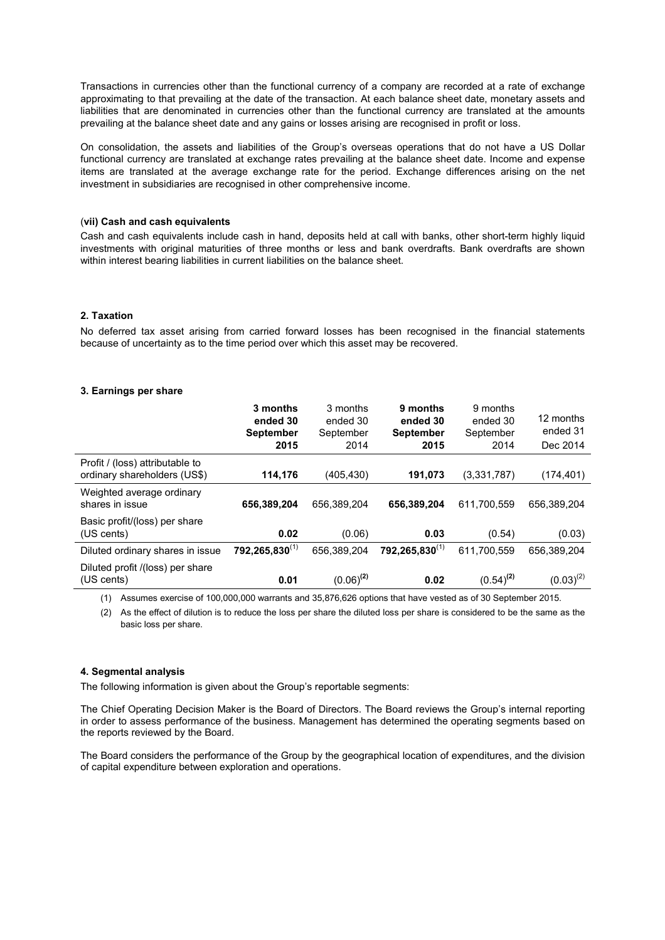Transactions in currencies other than the functional currency of a company are recorded at a rate of exchange approximating to that prevailing at the date of the transaction. At each balance sheet date, monetary assets and liabilities that are denominated in currencies other than the functional currency are translated at the amounts prevailing at the balance sheet date and any gains or losses arising are recognised in profit or loss.

On consolidation, the assets and liabilities of the Group's overseas operations that do not have a US Dollar functional currency are translated at exchange rates prevailing at the balance sheet date. Income and expense items are translated at the average exchange rate for the period. Exchange differences arising on the net investment in subsidiaries are recognised in other comprehensive income.

#### (**vii) Cash and cash equivalents**

Cash and cash equivalents include cash in hand, deposits held at call with banks, other short-term highly liquid investments with original maturities of three months or less and bank overdrafts. Bank overdrafts are shown within interest bearing liabilities in current liabilities on the balance sheet.

## **2. Taxation**

No deferred tax asset arising from carried forward losses has been recognised in the financial statements because of uncertainty as to the time period over which this asset may be recovered.

#### **3. Earnings per share**

|                                                                 | 3 months<br>ended 30<br><b>September</b><br>2015 | 3 months<br>ended 30<br>September<br>2014 | 9 months<br>ended 30<br><b>September</b><br>2015 | 9 months<br>ended 30<br>September<br>2014 | 12 months<br>ended 31<br>Dec 2014 |
|-----------------------------------------------------------------|--------------------------------------------------|-------------------------------------------|--------------------------------------------------|-------------------------------------------|-----------------------------------|
| Profit / (loss) attributable to<br>ordinary shareholders (US\$) | 114,176                                          | (405, 430)                                | 191,073                                          | (3,331,787)                               | (174, 401)                        |
| Weighted average ordinary<br>shares in issue                    | 656,389,204                                      | 656.389.204                               | 656,389,204                                      | 611.700.559                               | 656.389.204                       |
| Basic profit/(loss) per share<br>(US cents)                     | 0.02                                             | (0.06)                                    | 0.03                                             | (0.54)                                    | (0.03)                            |
| Diluted ordinary shares in issue                                | $792,265,830^{(1)}$                              | 656.389.204                               | $792,265,830^{(1)}$                              | 611.700.559                               | 656.389.204                       |
| Diluted profit /(loss) per share<br>(US cents)                  | 0.01                                             | $(0.06)^{(2)}$                            | 0.02                                             | $(0.54)^{(2)}$                            | $(0.03)^{(2)}$                    |

(1) Assumes exercise of 100,000,000 warrants and 35,876,626 options that have vested as of 30 September 2015.

(2) As the effect of dilution is to reduce the loss per share the diluted loss per share is considered to be the same as the basic loss per share.

## **4. Segmental analysis**

The following information is given about the Group's reportable segments:

The Chief Operating Decision Maker is the Board of Directors. The Board reviews the Group's internal reporting in order to assess performance of the business. Management has determined the operating segments based on the reports reviewed by the Board.

The Board considers the performance of the Group by the geographical location of expenditures, and the division of capital expenditure between exploration and operations.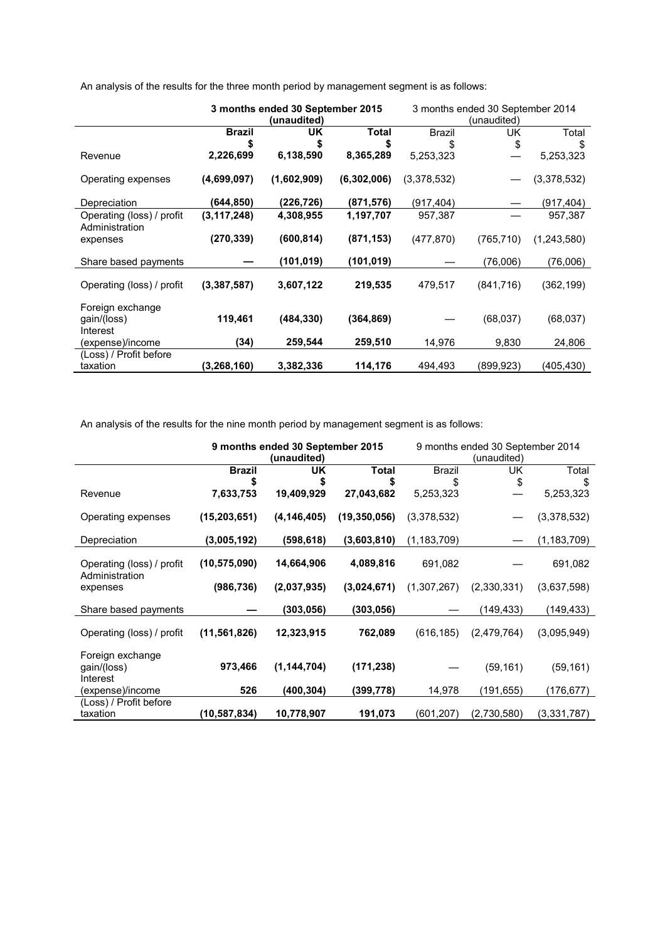|                                             | 3 months ended 30 September 2015 |             | 3 months ended 30 September 2014 |               |             |             |
|---------------------------------------------|----------------------------------|-------------|----------------------------------|---------------|-------------|-------------|
|                                             |                                  | (unaudited) |                                  |               | (unaudited) |             |
|                                             | <b>Brazil</b>                    | UK          | <b>Total</b>                     | <b>Brazil</b> | UK          | Total       |
|                                             | S                                | S           | \$                               |               | \$          | S           |
| Revenue                                     | 2,226,699                        | 6,138,590   | 8,365,289                        | 5,253,323     |             | 5,253,323   |
| Operating expenses                          | (4,699,097)                      | (1,602,909) | (6,302,006)                      | (3,378,532)   |             | (3,378,532) |
| Depreciation                                | (644,850)                        | (226, 726)  | (871, 576)                       | (917,404)     |             | (917, 404)  |
| Operating (loss) / profit<br>Administration | (3, 117, 248)                    | 4,308,955   | 1,197,707                        | 957,387       |             | 957,387     |
| expenses                                    | (270, 339)                       | (600, 814)  | (871, 153)                       | (477, 870)    | (765, 710)  | (1,243,580) |
| Share based payments                        |                                  | (101, 019)  | (101, 019)                       |               | (76,006)    | (76,006)    |
| Operating (loss) / profit                   | (3,387,587)                      | 3,607,122   | 219,535                          | 479,517       | (841, 716)  | (362, 199)  |
| Foreign exchange<br>gain/(loss)<br>Interest | 119,461                          | (484, 330)  | (364, 869)                       |               | (68, 037)   | (68, 037)   |
| (expense)/income                            | (34)                             | 259,544     | 259,510                          | 14,976        | 9,830       | 24,806      |
| (Loss) / Profit before                      |                                  |             |                                  |               |             |             |
| taxation                                    | (3,268,160)                      | 3,382,336   | 114,176                          | 494,493       | (899,923)   | (405,430)   |

An analysis of the results for the three month period by management segment is as follows:

An analysis of the results for the nine month period by management segment is as follows:

|                                             | 9 months ended 30 September 2015<br>(unaudited) |               | 9 months ended 30 September 2014<br>(unaudited) |               |             |               |
|---------------------------------------------|-------------------------------------------------|---------------|-------------------------------------------------|---------------|-------------|---------------|
|                                             | <b>Brazil</b>                                   | UK            | <b>Total</b>                                    | <b>Brazil</b> | UK          | Total         |
|                                             |                                                 | S             | \$                                              | \$            | \$          | \$            |
| Revenue                                     | 7,633,753                                       | 19,409,929    | 27,043,682                                      | 5,253,323     |             | 5,253,323     |
| Operating expenses                          | (15, 203, 651)                                  | (4, 146, 405) | (19,350,056)                                    | (3,378,532)   |             | (3,378,532)   |
| Depreciation                                | (3,005,192)                                     | (598, 618)    | (3,603,810)                                     | (1, 183, 709) |             | (1, 183, 709) |
| Operating (loss) / profit<br>Administration | (10, 575, 090)                                  | 14,664,906    | 4,089,816                                       | 691,082       |             | 691,082       |
| expenses                                    | (986, 736)                                      | (2,037,935)   | (3,024,671)                                     | (1,307,267)   | (2,330,331) | (3,637,598)   |
| Share based payments                        |                                                 | (303, 056)    | (303, 056)                                      |               | (149,433)   | (149, 433)    |
| Operating (loss) / profit                   | (11, 561, 826)                                  | 12,323,915    | 762,089                                         | (616, 185)    | (2,479,764) | (3,095,949)   |
| Foreign exchange<br>gain/(loss)<br>Interest | 973,466                                         | (1, 144, 704) | (171, 238)                                      |               | (59, 161)   | (59, 161)     |
| (expense)/income                            | 526                                             | (400, 304)    | (399,778)                                       | 14,978        | (191,655)   | (176,677)     |
| (Loss) / Profit before<br>taxation          | (10,587,834)                                    | 10,778,907    | 191,073                                         | (601,207)     | (2,730,580) | (3, 331, 787) |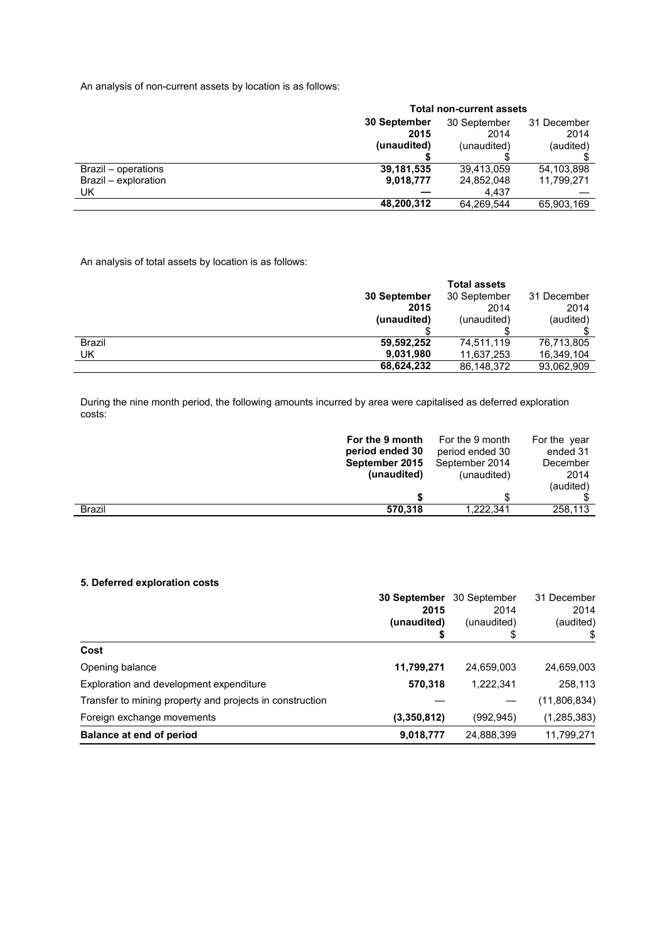An analysis of non-current assets by location is as follows:

|                      | <b>Total non-current assets</b> |              |             |  |
|----------------------|---------------------------------|--------------|-------------|--|
|                      | 30 September                    | 30 September | 31 December |  |
|                      | 2015                            | 2014         | 2014        |  |
|                      | (unaudited)                     | (unaudited)  | (audited)   |  |
|                      |                                 |              |             |  |
| Brazil – operations  | 39,181,535                      | 39.413.059   | 54,103,898  |  |
| Brazil - exploration | 9,018,777                       | 24,852,048   | 11,799,271  |  |
| UK                   |                                 | 4.437        |             |  |
|                      | 48,200,312                      | 64,269,544   | 65,903,169  |  |

An analysis of total assets by location is as follows:

|               |              | <b>Total assets</b> |             |
|---------------|--------------|---------------------|-------------|
|               | 30 September | 30 September        | 31 December |
|               | 2015         | 2014                | 2014        |
|               | (unaudited)  | (unaudited)         | (audited)   |
|               |              |                     |             |
| <b>Brazil</b> | 59,592,252   | 74,511,119          | 76,713,805  |
| UK            | 9,031,980    | 11,637,253          | 16,349,104  |
|               | 68,624,232   | 86,148,372          | 93,062,909  |

During the nine month period, the following amounts incurred by area were capitalised as deferred exploration costs:

|               | For the 9 month | For the 9 month | For the year |
|---------------|-----------------|-----------------|--------------|
|               | period ended 30 | period ended 30 | ended 31     |
|               | September 2015  | September 2014  | December     |
|               | (unaudited)     | (unaudited)     | 2014         |
|               |                 |                 | (audited)    |
|               |                 |                 |              |
| <b>Brazil</b> | 570.318         | 1.222.341       | 258,113      |

## **5. Deferred exploration costs**

|                                                          | 30 September | 30 September | 31 December   |
|----------------------------------------------------------|--------------|--------------|---------------|
|                                                          | 2015         | 2014         | 2014          |
|                                                          | (unaudited)  | (unaudited)  | (audited)     |
|                                                          |              | \$           |               |
| Cost                                                     |              |              |               |
| Opening balance                                          | 11,799,271   | 24,659,003   | 24,659,003    |
| Exploration and development expenditure                  | 570,318      | 1,222,341    | 258,113       |
| Transfer to mining property and projects in construction |              |              | (11,806,834)  |
| Foreign exchange movements                               | (3,350,812)  | (992, 945)   | (1, 285, 383) |
| Balance at end of period                                 | 9,018,777    | 24,888,399   | 11,799,271    |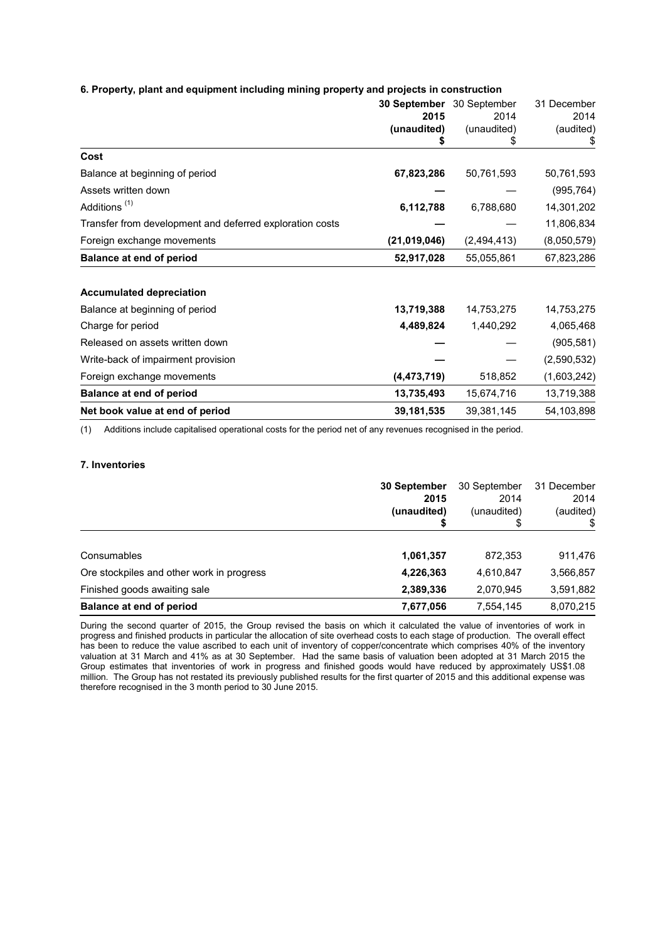## **6. Property, plant and equipment including mining property and projects in construction**

|                                                          | 30 September<br>2015 | 30 September<br>2014 | 31 December<br>2014 |
|----------------------------------------------------------|----------------------|----------------------|---------------------|
|                                                          | (unaudited)          | (unaudited)<br>\$    | (audited)<br>\$     |
| Cost                                                     |                      |                      |                     |
| Balance at beginning of period                           | 67,823,286           | 50,761,593           | 50,761,593          |
| Assets written down                                      |                      |                      | (995, 764)          |
| Additions <sup>(1)</sup>                                 | 6,112,788            | 6,788,680            | 14,301,202          |
| Transfer from development and deferred exploration costs |                      |                      | 11,806,834          |
| Foreign exchange movements                               | (21,019,046)         | (2,494,413)          | (8,050,579)         |
| <b>Balance at end of period</b>                          | 52,917,028           | 55,055,861           | 67,823,286          |
| <b>Accumulated depreciation</b>                          |                      |                      |                     |
| Balance at beginning of period                           | 13,719,388           | 14,753,275           | 14,753,275          |
| Charge for period                                        | 4,489,824            | 1,440,292            | 4,065,468           |
| Released on assets written down                          |                      |                      | (905, 581)          |
| Write-back of impairment provision                       |                      |                      | (2,590,532)         |
| Foreign exchange movements                               | (4, 473, 719)        | 518,852              | (1,603,242)         |
| <b>Balance at end of period</b>                          | 13,735,493           | 15,674,716           | 13,719,388          |
| Net book value at end of period                          | 39,181,535           | 39,381,145           | 54,103,898          |

(1) Additions include capitalised operational costs for the period net of any revenues recognised in the period.

#### **7. Inventories**

|                                           | 30 September<br>2015<br>(unaudited) | 30 September<br>2014<br>(unaudited)<br>S | 31 December<br>2014<br>(audited) |
|-------------------------------------------|-------------------------------------|------------------------------------------|----------------------------------|
| Consumables                               | 1,061,357                           | 872,353                                  | 911,476                          |
| Ore stockpiles and other work in progress | 4,226,363                           | 4,610,847                                | 3,566,857                        |
| Finished goods awaiting sale              | 2,389,336                           | 2,070,945                                | 3,591,882                        |
| Balance at end of period                  | 7,677,056                           | 7,554,145                                | 8,070,215                        |

During the second quarter of 2015, the Group revised the basis on which it calculated the value of inventories of work in progress and finished products in particular the allocation of site overhead costs to each stage of production. The overall effect has been to reduce the value ascribed to each unit of inventory of copper/concentrate which comprises 40% of the inventory valuation at 31 March and 41% as at 30 September. Had the same basis of valuation been adopted at 31 March 2015 the Group estimates that inventories of work in progress and finished goods would have reduced by approximately US\$1.08 million. The Group has not restated its previously published results for the first quarter of 2015 and this additional expense was therefore recognised in the 3 month period to 30 June 2015.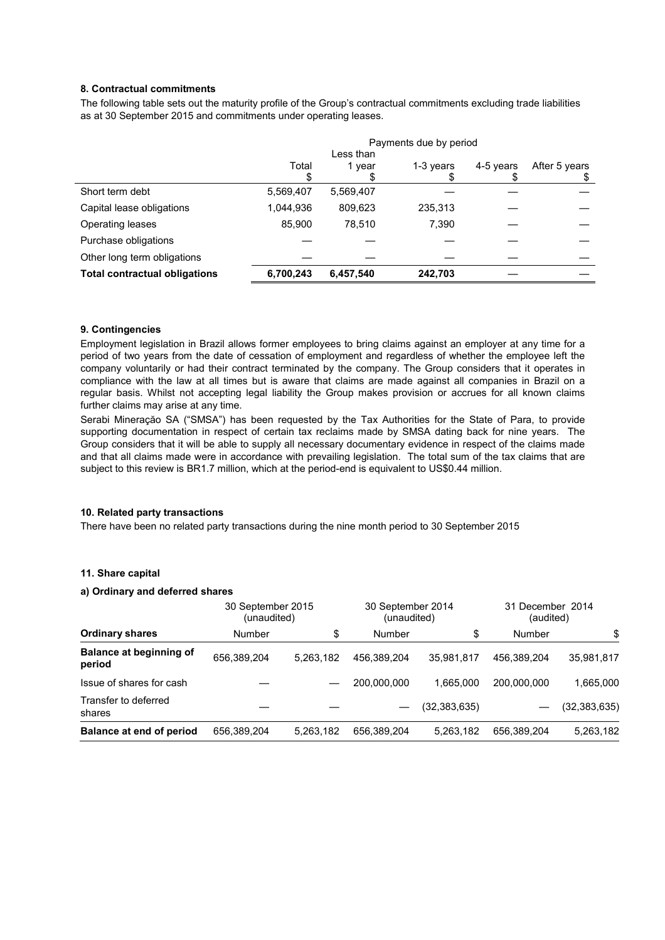## **8. Contractual commitments**

The following table sets out the maturity profile of the Group's contractual commitments excluding trade liabilities as at 30 September 2015 and commitments under operating leases.

|                                      | Payments due by period |           |           |           |               |
|--------------------------------------|------------------------|-----------|-----------|-----------|---------------|
|                                      | Less than              |           |           |           |               |
|                                      | Total                  | 1 vear    | 1-3 years | 4-5 years | After 5 years |
|                                      |                        |           |           |           |               |
| Short term debt                      | 5,569,407              | 5,569,407 |           |           |               |
| Capital lease obligations            | 1,044,936              | 809,623   | 235,313   |           |               |
| Operating leases                     | 85.900                 | 78.510    | 7.390     |           |               |
| Purchase obligations                 |                        |           |           |           |               |
| Other long term obligations          |                        |           |           |           |               |
| <b>Total contractual obligations</b> | 6,700,243              | 6,457,540 | 242,703   |           |               |

## **9. Contingencies**

Employment legislation in Brazil allows former employees to bring claims against an employer at any time for a period of two years from the date of cessation of employment and regardless of whether the employee left the company voluntarily or had their contract terminated by the company. The Group considers that it operates in compliance with the law at all times but is aware that claims are made against all companies in Brazil on a regular basis. Whilst not accepting legal liability the Group makes provision or accrues for all known claims further claims may arise at any time.

Serabi Mineraçăo SA ("SMSA") has been requested by the Tax Authorities for the State of Para, to provide supporting documentation in respect of certain tax reclaims made by SMSA dating back for nine years. The Group considers that it will be able to supply all necessary documentary evidence in respect of the claims made and that all claims made were in accordance with prevailing legislation. The total sum of the tax claims that are subject to this review is BR1.7 million, which at the period-end is equivalent to US\$0.44 million.

## **10. Related party transactions**

There have been no related party transactions during the nine month period to 30 September 2015

#### **11. Share capital**

## **a) Ordinary and deferred shares**

|                                          |             | 30 September 2014<br>30 September 2015<br>(unaudited)<br>(unaudited) |             |              | 31 December 2014<br>(audited) |                |
|------------------------------------------|-------------|----------------------------------------------------------------------|-------------|--------------|-------------------------------|----------------|
| <b>Ordinary shares</b>                   | Number      | \$                                                                   | Number      | \$           | Number                        | \$             |
| <b>Balance at beginning of</b><br>period | 656,389,204 | 5.263.182                                                            | 456.389.204 | 35.981.817   | 456.389.204                   | 35,981,817     |
| Issue of shares for cash                 |             |                                                                      | 200.000.000 | 1.665.000    | 200.000.000                   | 1.665.000      |
| Transfer to deferred<br>shares           |             |                                                                      |             | (32,383,635) |                               | (32, 383, 635) |
| Balance at end of period                 | 656,389,204 | 5,263,182                                                            | 656,389,204 | 5,263,182    | 656,389,204                   | 5,263,182      |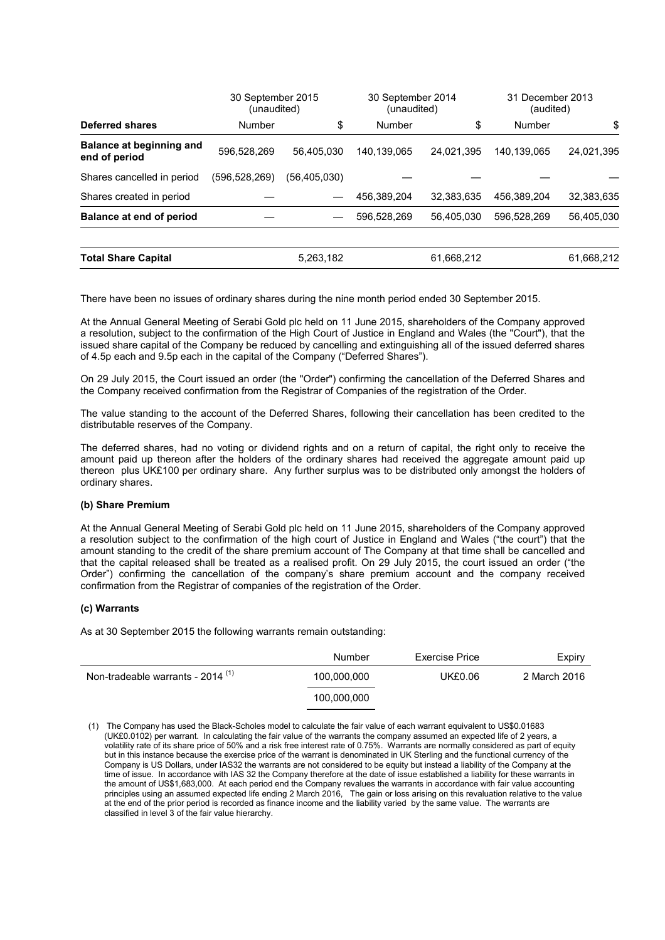|                                                  | 30 September 2015<br>(unaudited) |                | 30 September 2014<br>(unaudited) |            | 31 December 2013<br>(audited) |            |
|--------------------------------------------------|----------------------------------|----------------|----------------------------------|------------|-------------------------------|------------|
| <b>Deferred shares</b>                           | Number                           | \$             | Number                           | \$         | Number                        | \$         |
| <b>Balance at beginning and</b><br>end of period | 596,528,269                      | 56.405.030     | 140,139,065                      | 24.021.395 | 140.139.065                   | 24,021,395 |
| Shares cancelled in period                       | (596.528.269)                    | (56, 405, 030) |                                  |            |                               |            |
| Shares created in period                         |                                  |                | 456.389.204                      | 32.383.635 | 456.389.204                   | 32,383,635 |
| Balance at end of period                         |                                  |                | 596.528.269                      | 56.405.030 | 596.528.269                   | 56,405,030 |
| <b>Total Share Capital</b>                       |                                  | 5,263,182      |                                  | 61,668,212 |                               | 61,668,212 |

There have been no issues of ordinary shares during the nine month period ended 30 September 2015.

At the Annual General Meeting of Serabi Gold plc held on 11 June 2015, shareholders of the Company approved a resolution, subject to the confirmation of the High Court of Justice in England and Wales (the "Court"), that the issued share capital of the Company be reduced by cancelling and extinguishing all of the issued deferred shares of 4.5p each and 9.5p each in the capital of the Company ("Deferred Shares").

On 29 July 2015, the Court issued an order (the "Order") confirming the cancellation of the Deferred Shares and the Company received confirmation from the Registrar of Companies of the registration of the Order.

The value standing to the account of the Deferred Shares, following their cancellation has been credited to the distributable reserves of the Company.

The deferred shares, had no voting or dividend rights and on a return of capital, the right only to receive the amount paid up thereon after the holders of the ordinary shares had received the aggregate amount paid up thereon plus UK£100 per ordinary share. Any further surplus was to be distributed only amongst the holders of ordinary shares.

#### **(b) Share Premium**

At the Annual General Meeting of Serabi Gold plc held on 11 June 2015, shareholders of the Company approved a resolution subject to the confirmation of the high court of Justice in England and Wales ("the court") that the amount standing to the credit of the share premium account of The Company at that time shall be cancelled and that the capital released shall be treated as a realised profit. On 29 July 2015, the court issued an order ("the Order") confirming the cancellation of the company's share premium account and the company received confirmation from the Registrar of companies of the registration of the Order.

## **(c) Warrants**

As at 30 September 2015 the following warrants remain outstanding:

|                                              | Number      | Exercise Price | Expiry       |
|----------------------------------------------|-------------|----------------|--------------|
| Non-tradeable warrants - 2014 <sup>(1)</sup> | 100,000,000 | UK£0.06        | 2 March 2016 |
|                                              | 100,000,000 |                |              |

(1) The Company has used the Black-Scholes model to calculate the fair value of each warrant equivalent to US\$0.01683 (UK£0.0102) per warrant. In calculating the fair value of the warrants the company assumed an expected life of 2 years, a volatility rate of its share price of 50% and a risk free interest rate of 0.75%. Warrants are normally considered as part of equity but in this instance because the exercise price of the warrant is denominated in UK Sterling and the functional currency of the Company is US Dollars, under IAS32 the warrants are not considered to be equity but instead a liability of the Company at the time of issue. In accordance with IAS 32 the Company therefore at the date of issue established a liability for these warrants in the amount of US\$1,683,000. At each period end the Company revalues the warrants in accordance with fair value accounting principles using an assumed expected life ending 2 March 2016, The gain or loss arising on this revaluation relative to the value at the end of the prior period is recorded as finance income and the liability varied by the same value. The warrants are classified in level 3 of the fair value hierarchy.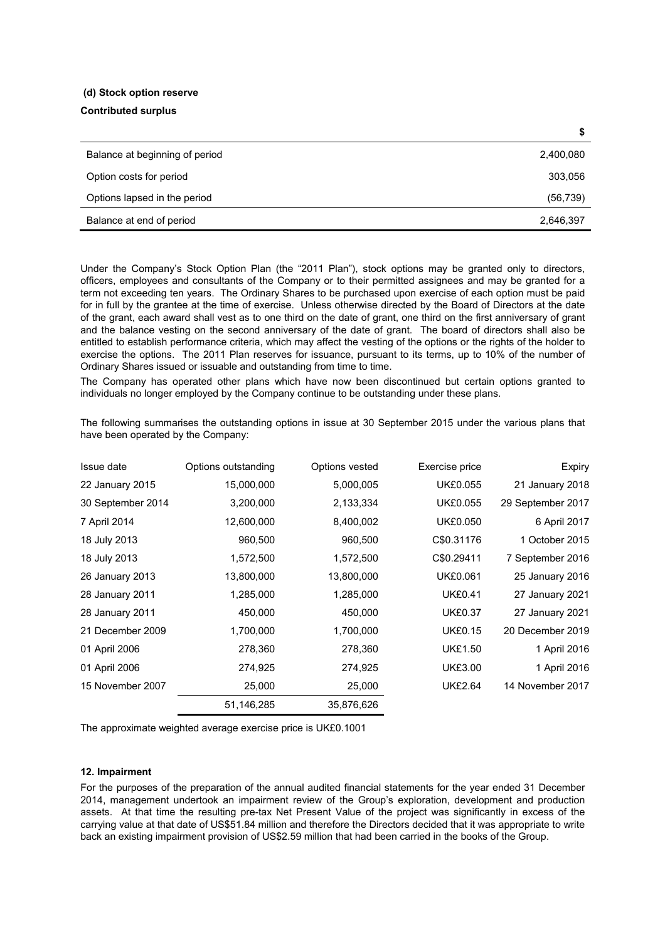# **(d) Stock option reserve**

## **Contributed surplus**

| Balance at beginning of period | 2,400,080 |
|--------------------------------|-----------|
| Option costs for period        | 303,056   |
| Options lapsed in the period   | (56, 739) |
| Balance at end of period       | 2,646,397 |

Under the Company's Stock Option Plan (the "2011 Plan"), stock options may be granted only to directors, officers, employees and consultants of the Company or to their permitted assignees and may be granted for a term not exceeding ten years. The Ordinary Shares to be purchased upon exercise of each option must be paid for in full by the grantee at the time of exercise. Unless otherwise directed by the Board of Directors at the date of the grant, each award shall vest as to one third on the date of grant, one third on the first anniversary of grant and the balance vesting on the second anniversary of the date of grant. The board of directors shall also be entitled to establish performance criteria, which may affect the vesting of the options or the rights of the holder to exercise the options. The 2011 Plan reserves for issuance, pursuant to its terms, up to 10% of the number of Ordinary Shares issued or issuable and outstanding from time to time.

The Company has operated other plans which have now been discontinued but certain options granted to individuals no longer employed by the Company continue to be outstanding under these plans.

The following summarises the outstanding options in issue at 30 September 2015 under the various plans that have been operated by the Company:

| Issue date        | Options outstanding | Options vested | Exercise price  | Expiry            |
|-------------------|---------------------|----------------|-----------------|-------------------|
| 22 January 2015   | 15,000,000          | 5,000,005      | <b>UK£0.055</b> | 21 January 2018   |
| 30 September 2014 | 3,200,000           | 2,133,334      | <b>UK£0.055</b> | 29 September 2017 |
| 7 April 2014      | 12,600,000          | 8,400,002      | <b>UK£0.050</b> | 6 April 2017      |
| 18 July 2013      | 960,500             | 960,500        | C\$0.31176      | 1 October 2015    |
| 18 July 2013      | 1,572,500           | 1,572,500      | C\$0.29411      | 7 September 2016  |
| 26 January 2013   | 13,800,000          | 13,800,000     | <b>UK£0.061</b> | 25 January 2016   |
| 28 January 2011   | 1,285,000           | 1,285,000      | <b>UK£0.41</b>  | 27 January 2021   |
| 28 January 2011   | 450,000             | 450,000        | <b>UK£0.37</b>  | 27 January 2021   |
| 21 December 2009  | 1,700,000           | 1,700,000      | <b>UK£0.15</b>  | 20 December 2019  |
| 01 April 2006     | 278,360             | 278,360        | <b>UK£1.50</b>  | 1 April 2016      |
| 01 April 2006     | 274,925             | 274,925        | <b>UK£3.00</b>  | 1 April 2016      |
| 15 November 2007  | 25,000              | 25,000         | <b>UK£2.64</b>  | 14 November 2017  |
|                   | 51,146,285          | 35,876,626     |                 |                   |

The approximate weighted average exercise price is UK£0.1001

## **12. Impairment**

For the purposes of the preparation of the annual audited financial statements for the year ended 31 December 2014, management undertook an impairment review of the Group's exploration, development and production assets. At that time the resulting pre-tax Net Present Value of the project was significantly in excess of the carrying value at that date of US\$51.84 million and therefore the Directors decided that it was appropriate to write back an existing impairment provision of US\$2.59 million that had been carried in the books of the Group.